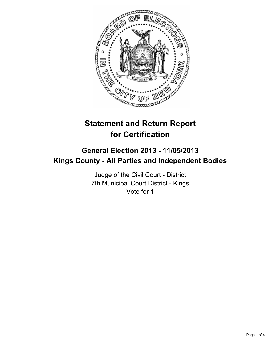

# **Statement and Return Report for Certification**

## **General Election 2013 - 11/05/2013 Kings County - All Parties and Independent Bodies**

Judge of the Civil Court - District 7th Municipal Court District - Kings Vote for 1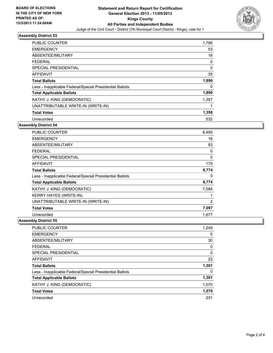

### **Assembly District 53**

| <b>PUBLIC COUNTER</b>                                    | 1,786       |
|----------------------------------------------------------|-------------|
| <b>EMERGENCY</b>                                         | 53          |
| ABSENTEE/MILITARY                                        | 16          |
| <b>FEDERAL</b>                                           | $\Omega$    |
| SPECIAL PRESIDENTIAL                                     | $\mathbf 0$ |
| AFFIDAVIT                                                | 35          |
| <b>Total Ballots</b>                                     | 1,890       |
| Less - Inapplicable Federal/Special Presidential Ballots | 0           |
| <b>Total Applicable Ballots</b>                          | 1,890       |
| KATHY J. KING (DEMOCRATIC)                               | 1,357       |
| UNATTRIBUTABLE WRITE-IN (WRITE-IN)                       |             |
| <b>Total Votes</b>                                       | 1,358       |
| Unrecorded                                               | 532         |

#### **Assembly District 54**

| <b>PUBLIC COUNTER</b>                                    | 8,495    |
|----------------------------------------------------------|----------|
| <b>EMERGENCY</b>                                         | 16       |
| ABSENTEE/MILITARY                                        | 93       |
| <b>FEDERAL</b>                                           | 0        |
| <b>SPECIAL PRESIDENTIAL</b>                              | $\Omega$ |
| <b>AFFIDAVIT</b>                                         | 170      |
| <b>Total Ballots</b>                                     | 8,774    |
| Less - Inapplicable Federal/Special Presidential Ballots | 0        |
| <b>Total Applicable Ballots</b>                          | 8,774    |
| KATHY J. KING (DEMOCRATIC)                               | 7,094    |
| <b>KERRY HAYES (WRITE-IN)</b>                            |          |
| UNATTRIBUTABLE WRITE-IN (WRITE-IN)                       | 2        |
| <b>Total Votes</b>                                       | 7,097    |
| Unrecorded                                               | 1,677    |

#### **Assembly District 55**

| <b>PUBLIC COUNTER</b>                                    | 1,249 |
|----------------------------------------------------------|-------|
| <b>EMERGENCY</b>                                         | 0     |
| ABSENTEE/MILITARY                                        | 30    |
| <b>FEDERAL</b>                                           | 0     |
| SPECIAL PRESIDENTIAL                                     | 0     |
| <b>AFFIDAVIT</b>                                         | 22    |
| <b>Total Ballots</b>                                     | 1,301 |
| Less - Inapplicable Federal/Special Presidential Ballots | 0     |
| <b>Total Applicable Ballots</b>                          | 1,301 |
| KATHY J. KING (DEMOCRATIC)                               | 1,070 |
| <b>Total Votes</b>                                       | 1,070 |
| Unrecorded                                               | 231   |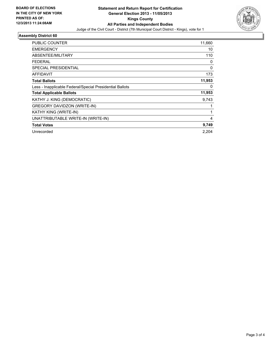

#### **Assembly District 60**

| <b>PUBLIC COUNTER</b>                                    | 11,660 |
|----------------------------------------------------------|--------|
| <b>EMERGENCY</b>                                         | 10     |
| <b>ABSENTEE/MILITARY</b>                                 | 110    |
| <b>FEDERAL</b>                                           | 0      |
| <b>SPECIAL PRESIDENTIAL</b>                              | 0      |
| <b>AFFIDAVIT</b>                                         | 173    |
| <b>Total Ballots</b>                                     | 11,953 |
| Less - Inapplicable Federal/Special Presidential Ballots | 0      |
| <b>Total Applicable Ballots</b>                          | 11,953 |
| KATHY J. KING (DEMOCRATIC)                               | 9,743  |
| <b>GREGORY DAVIDZON (WRITE-IN)</b>                       |        |
| KATHY KING (WRITE-IN)                                    | 1      |
| UNATTRIBUTABLE WRITE-IN (WRITE-IN)                       | 4      |
| <b>Total Votes</b>                                       | 9,749  |
| Unrecorded                                               | 2.204  |